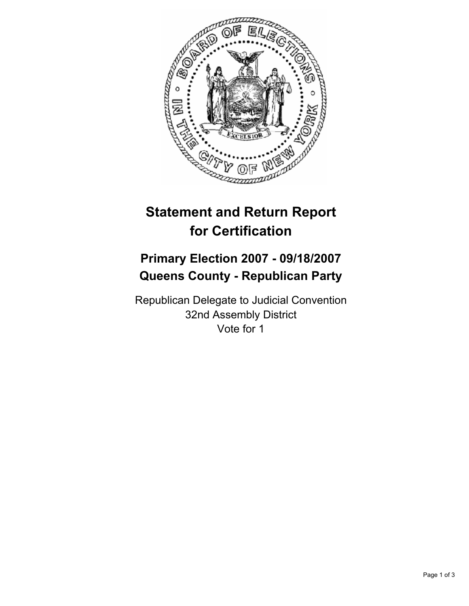

# **Statement and Return Report for Certification**

## **Primary Election 2007 - 09/18/2007 Queens County - Republican Party**

Republican Delegate to Judicial Convention 32nd Assembly District Vote for 1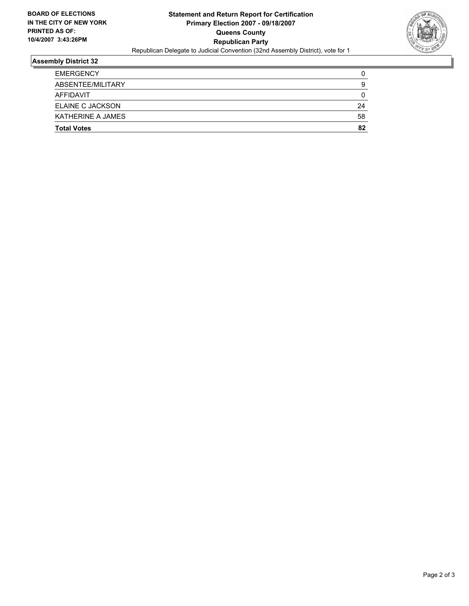

### **Assembly District 32**

| <b>EMERGENCY</b>   |    |
|--------------------|----|
| ABSENTEE/MILITARY  | g  |
| <b>AFFIDAVIT</b>   |    |
| ELAINE C JACKSON   | 24 |
| KATHERINE A JAMES  | 58 |
| <b>Total Votes</b> | 82 |